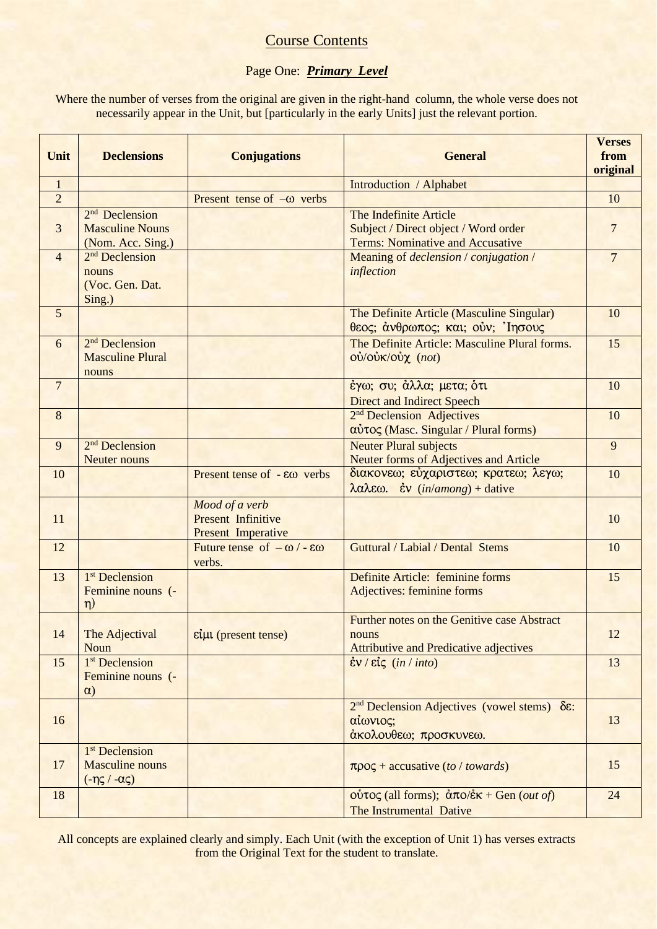# **Course Contents**

# Page One: *Primary Level*

Where the number of verses from the original are given in the right-hand column, the whole verse does not necessarily appear in the Unit, but [particularly in the early Units] just the relevant portion.

| Unit           | <b>Declensions</b>                                                                      | <b>Conjugations</b>                                                      | <b>General</b>                                                                                                  | <b>Verses</b><br>from<br>original |
|----------------|-----------------------------------------------------------------------------------------|--------------------------------------------------------------------------|-----------------------------------------------------------------------------------------------------------------|-----------------------------------|
| $\mathbf{1}$   |                                                                                         |                                                                          | Introduction / Alphabet                                                                                         |                                   |
| $\overline{2}$ |                                                                                         | Present tense of $-\omega$ verbs                                         |                                                                                                                 | 10                                |
| 3              | 2 <sup>nd</sup> Declension<br><b>Masculine Nouns</b>                                    |                                                                          | The Indefinite Article<br>Subject / Direct object / Word order                                                  | $\overline{7}$                    |
|                | (Nom. Acc. Sing.)                                                                       |                                                                          | <b>Terms: Nominative and Accusative</b>                                                                         |                                   |
| $\overline{4}$ | 2 <sup>nd</sup> Declension<br>nouns<br>(Voc. Gen. Dat.<br>Sing.)                        |                                                                          | Meaning of declension / conjugation /<br>inflection                                                             | $\overline{7}$                    |
| $\overline{5}$ |                                                                                         |                                                                          | The Definite Article (Masculine Singular)<br>θεος; άνθρωπος; και; ούν; Ίησους                                   | 10                                |
| 6              | 2 <sup>nd</sup> Declension<br><b>Masculine Plural</b><br>nouns                          |                                                                          | The Definite Article: Masculine Plural forms.<br>$O\dot{V}/O\dot{V}K/O\dot{V}\chi$ (not)                        | 15                                |
| $\overline{7}$ |                                                                                         |                                                                          | έγω; συ; άλλα; μετα; ότι<br><b>Direct and Indirect Speech</b>                                                   | 10                                |
| 8              |                                                                                         |                                                                          | 2 <sup>nd</sup> Declension Adjectives<br>$α\dot{v}$ τος (Masc. Singular / Plural forms)                         | 10                                |
| 9              | 2 <sup>nd</sup> Declension<br><b>Neuter nouns</b>                                       |                                                                          | <b>Neuter Plural subjects</b><br><b>Neuter forms of Adjectives and Article</b>                                  | 9                                 |
| 10             |                                                                                         | Present tense of $- \epsilon \omega$ verbs                               | διακονεω; εύχαριστεω; κρατεω; λεγω;<br>$\lambda \alpha \lambda \epsilon \omega$ . <i>iv (in/among)</i> + dative | 10                                |
| 11             |                                                                                         | Mood of a verb<br><b>Present Infinitive</b><br><b>Present Imperative</b> |                                                                                                                 | 10                                |
| 12             |                                                                                         | Future tense of $-\omega$ / - $\epsilon\omega$<br>verbs.                 | <b>Guttural / Labial / Dental Stems</b>                                                                         | 10                                |
| 13             | 1 <sup>st</sup> Declension<br>Feminine nouns (-<br>$\eta$ )                             |                                                                          | Definite Article: feminine forms<br>Adjectives: feminine forms                                                  | 15                                |
| 14             | The Adjectival<br>Noun                                                                  | $\epsilon \dot{\mu}$ (present tense)                                     | Further notes on the Genitive case Abstract<br>nouns<br><b>Attributive and Predicative adjectives</b>           | 12                                |
| 15             | 1 <sup>st</sup> Declension<br>Feminine nouns (-<br>$\alpha$ )                           |                                                                          | $\dot{\varepsilon}$ ν / εἶς (in / into)                                                                         | 13                                |
| 16             |                                                                                         |                                                                          | 2 <sup>nd</sup> Declension Adjectives (vowel stems) δε:<br>αίωνιος;<br>άκολουθεω; προσκυνεω.                    | 13                                |
| 17             | 1 <sup>st</sup> Declension<br><b>Masculine</b> nouns<br>$(-\eta \zeta / -\alpha \zeta)$ |                                                                          | $\pi \rho o \zeta$ + accusative (to / towards)                                                                  | 15                                |
| 18             |                                                                                         |                                                                          | $o$ ύτος (all forms); $\frac{\partial \pi o}{\partial k} +$ Gen ( <i>out of</i> )<br>The Instrumental Dative    | 24                                |

All concepts are explained clearly and simply. Each Unit (with the exception of Unit 1) has verses extracts from the Original Text for the student to translate.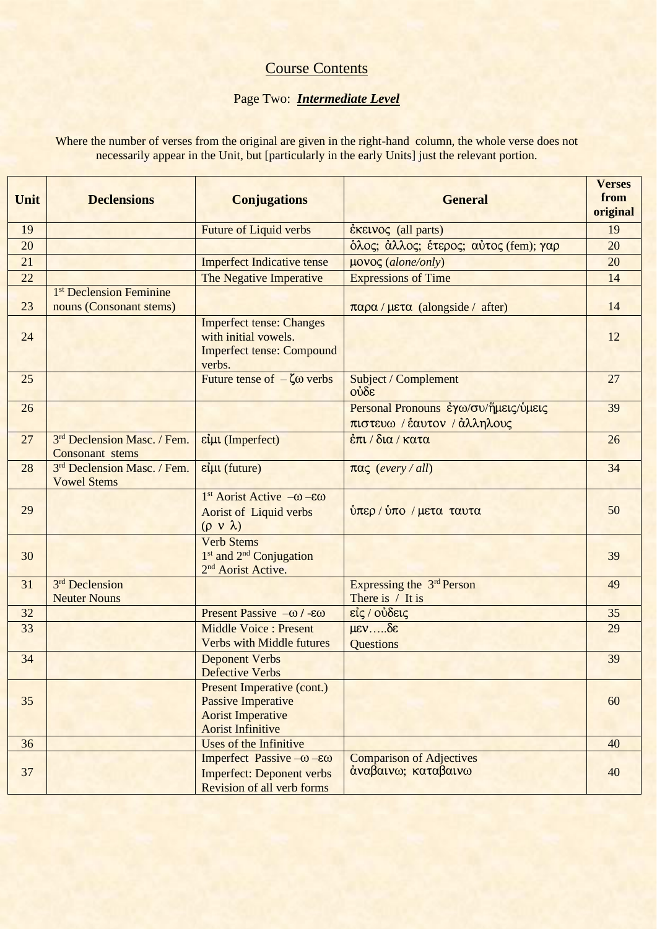# Course Contents

### Page Two: *Intermediate Level*

Where the number of verses from the original are given in the right-hand column, the whole verse does not necessarily appear in the Unit, but [particularly in the early Units] just the relevant portion.

| Unit | <b>Declensions</b>                                             | <b>Conjugations</b>                                                                                                    | <b>General</b>                                                      | <b>Verses</b><br>from<br>original |
|------|----------------------------------------------------------------|------------------------------------------------------------------------------------------------------------------------|---------------------------------------------------------------------|-----------------------------------|
| 19   |                                                                | <b>Future of Liquid verbs</b>                                                                                          | $\epsilon$ KELVO $\zeta$ (all parts)                                | 19                                |
| 20   |                                                                |                                                                                                                        | όλος; άλλος; έτερος; αύτος (fem); γαρ                               | 20                                |
| 21   |                                                                | <b>Imperfect Indicative tense</b>                                                                                      | μονος (alone/only)                                                  | 20                                |
| 22   |                                                                | The Negative Imperative                                                                                                | <b>Expressions of Time</b>                                          | 14                                |
| 23   | 1 <sup>st</sup> Declension Feminine<br>nouns (Consonant stems) |                                                                                                                        | παρα/μετα (alongside / after)                                       | 14                                |
| 24   |                                                                | <b>Imperfect tense: Changes</b><br>with initial vowels.<br><b>Imperfect tense: Compound</b><br>verbs.                  |                                                                     | 12                                |
| 25   |                                                                | Future tense of $-\zeta\omega$ verbs                                                                                   | Subject / Complement<br>ούδε                                        | 27                                |
| 26   |                                                                |                                                                                                                        | Personal Pronouns εγω/συ/ήμεις/ύμεις<br>πιστευω / έαυτον / άλληλους | 39                                |
| 27   | 3 <sup>rd</sup> Declension Masc. / Fem.<br>Consonant stems     | είμι (Imperfect)                                                                                                       | έπι / δια / κατα                                                    | 26                                |
| 28   | 3rd Declension Masc. / Fem.<br><b>Vowel Stems</b>              | είμι (future)                                                                                                          | $\pi\alpha\zeta$ (every / all)                                      | 34                                |
| 29   |                                                                | $1st$ Aorist Active $-\omega - \epsilon \omega$<br><b>Aorist of Liquid verbs</b><br>$(\rho \vee \lambda)$              | ύπερ / ύπο / μετα ταυτα                                             | 50                                |
| 30   |                                                                | <b>Verb Stems</b><br>1 <sup>st</sup> and 2 <sup>nd</sup> Conjugation<br>2 <sup>nd</sup> Aorist Active.                 |                                                                     | 39                                |
| 31   | 3 <sup>rd</sup> Declension<br><b>Neuter Nouns</b>              |                                                                                                                        | Expressing the 3rd Person<br>There is $/$ It is                     | 49                                |
| 32   |                                                                | Present Passive $-\omega$ / - $\epsilon\omega$                                                                         | είς / ούδεις                                                        | 35                                |
| 33   |                                                                | Middle Voice : Present<br><b>Verbs with Middle futures</b>                                                             | $\mu \varepsilon \nu$ $\delta \varepsilon$<br>Questions             | 29                                |
| 34   |                                                                | <b>Deponent Verbs</b><br>Defective Verbs                                                                               |                                                                     | 39                                |
| 35   |                                                                | <b>Present Imperative (cont.)</b><br><b>Passive Imperative</b><br><b>Aorist Imperative</b><br><b>Aorist Infinitive</b> |                                                                     | 60                                |
| 36   |                                                                | Uses of the Infinitive                                                                                                 |                                                                     | 40                                |
| 37   |                                                                | Imperfect Passive $-\omega - \epsilon \omega$<br><b>Imperfect: Deponent verbs</b><br>Revision of all verb forms        | <b>Comparison of Adjectives</b><br>άναβαινω; καταβαινω              | 40                                |